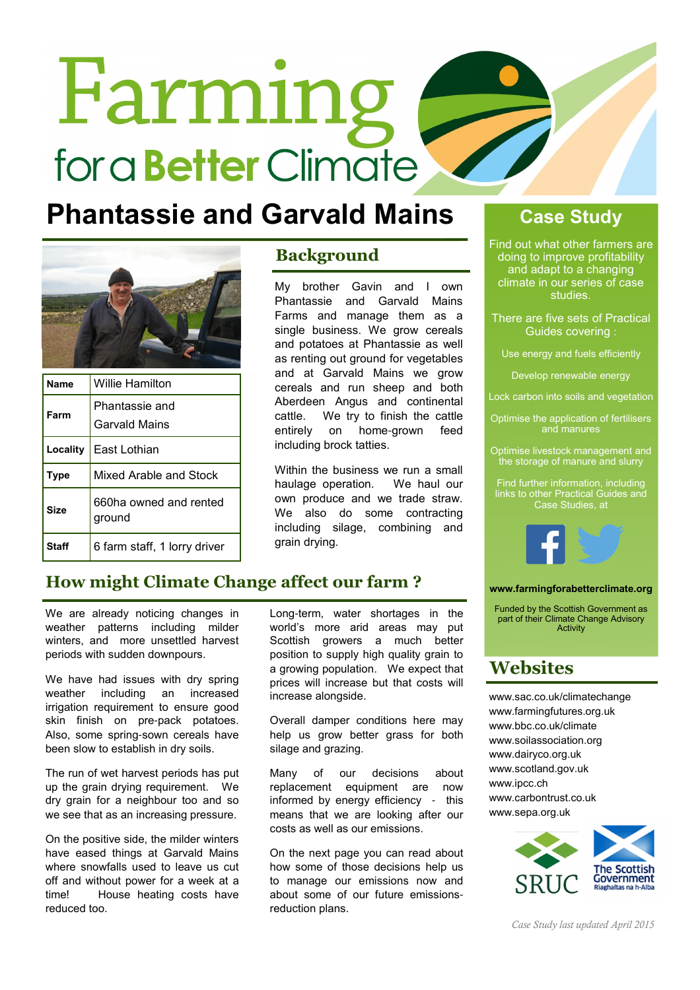# Farming fora **Better** Climate

### **Phantassie and Garvald Mains Case Study**



| <b>Name</b>  | <b>Willie Hamilton</b>           |
|--------------|----------------------------------|
| Farm         | Phantassie and<br>Garvald Mains  |
| Locality     | East Lothian                     |
| Type         | Mixed Arable and Stock           |
| Size         | 660ha owned and rented<br>ground |
| <b>Staff</b> | 6 farm staff, 1 lorry driver     |

### **Background**

My brother Gavin and I own Phantassie and Garvald Mains Farms and manage them as a single business. We grow cereals and potatoes at Phantassie as well as renting out ground for vegetables and at Garvald Mains we grow cereals and run sheep and both Aberdeen Angus and continental cattle. We try to finish the cattle entirely on home-grown feed including brock tatties.

Within the business we run a small haulage operation. We haul our own produce and we trade straw. We also do some contracting including silage, combining and grain drying.

### How might Climate Change affect our farm ?

We are already noticing changes in weather patterns including milder winters, and more unsettled harvest periods with sudden downpours.

We have had issues with dry spring weather including an increased irrigation requirement to ensure good skin finish on pre-pack potatoes. Also, some spring-sown cereals have been slow to establish in dry soils.

The run of wet harvest periods has put up the grain drying requirement. We dry grain for a neighbour too and so we see that as an increasing pressure.

On the positive side, the milder winters have eased things at Garvald Mains where snowfalls used to leave us cut off and without power for a week at a time! House heating costs have reduced too.

Long-term, water shortages in the world's more arid areas may put Scottish growers a much better position to supply high quality grain to a growing population. We expect that prices will increase but that costs will increase alongside.

Overall damper conditions here may help us grow better grass for both silage and grazing.

Many of our decisions about replacement equipment are now informed by energy efficiency - this means that we are looking after our costs as well as our emissions.

On the next page you can read about how some of those decisions help us to manage our emissions now and about some of our future emissionsreduction plans.

Find out what other farmers are doing to improve profitability and adapt to a changing climate in our series of case studies.

There are five sets of Practical Guides covering :

Use energy and fuels efficiently

Develop renewable energy

Lock carbon into soils and vegetation

Optimise the application of fertilisers and manures

Optimise livestock management and .<br>the storage of manure and slurry

Find further information, including links to other Practical Guides and Case Studies, at



### www.farmingforabetterclimate.org

Funded by the Scottish Government as part of their Climate Change Advisory **Activity** 

### **Websites**

www.sac.co.uk/climatechange www.farmingfutures.org.uk www.bbc.co.uk/climate www.soilassociation.org www.dairyco.org.uk www.scotland.gov.uk www.ipcc.ch www.carbontrust.co.uk www.sepa.org.uk



Case Study last updated April 2015